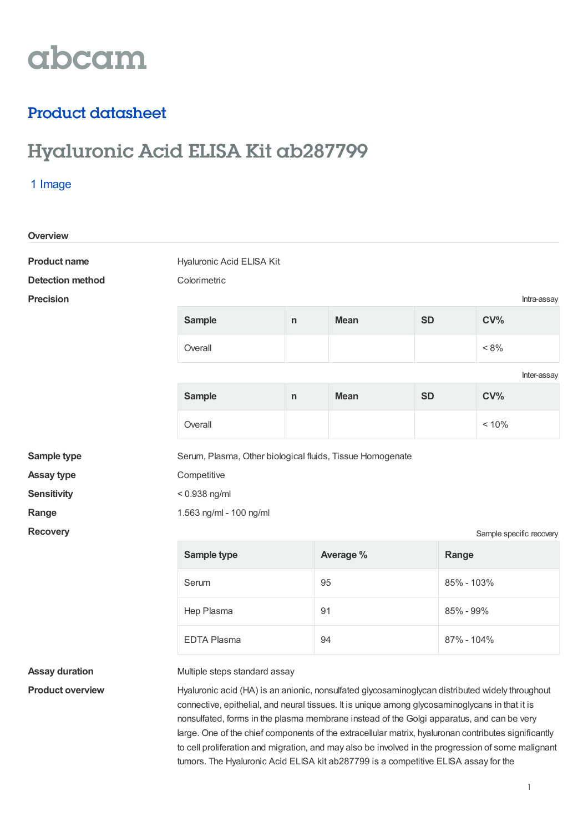# abcam

### Product datasheet

## Hyaluronic Acid ELISA Kit ab287799

#### 1 Image

| <b>Overview</b>         |                                                                                                 |              |                  |           |            |                 |  |
|-------------------------|-------------------------------------------------------------------------------------------------|--------------|------------------|-----------|------------|-----------------|--|
| <b>Product name</b>     | Hyaluronic Acid ELISA Kit                                                                       |              |                  |           |            |                 |  |
| <b>Detection method</b> | Colorimetric                                                                                    |              |                  |           |            |                 |  |
| <b>Precision</b>        |                                                                                                 |              |                  |           |            | Intra-assay     |  |
|                         | <b>Sample</b>                                                                                   | n            | <b>Mean</b>      | <b>SD</b> |            | CV <sub>0</sub> |  |
|                         | Overall                                                                                         |              |                  |           |            | $< 8\%$         |  |
|                         |                                                                                                 |              |                  |           |            | Inter-assay     |  |
|                         | <b>Sample</b>                                                                                   | $\mathsf{n}$ | <b>Mean</b>      | <b>SD</b> |            | CV <sub>0</sub> |  |
|                         | Overall                                                                                         |              |                  |           |            | < 10%           |  |
| Sample type             | Serum, Plasma, Other biological fluids, Tissue Homogenate                                       |              |                  |           |            |                 |  |
| <b>Assay type</b>       | Competitive                                                                                     |              |                  |           |            |                 |  |
| <b>Sensitivity</b>      | $< 0.938$ ng/ml                                                                                 |              |                  |           |            |                 |  |
| Range                   | 1.563 ng/ml - 100 ng/ml                                                                         |              |                  |           |            |                 |  |
| <b>Recovery</b>         | Sample specific recovery                                                                        |              |                  |           |            |                 |  |
|                         | Sample type                                                                                     |              | Average %        |           | Range      |                 |  |
|                         | Serum                                                                                           |              | 95<br>85% - 103% |           |            |                 |  |
|                         | Hep Plasma                                                                                      |              | 91               |           | 85% - 99%  |                 |  |
|                         | <b>EDTA Plasma</b>                                                                              | 94           |                  |           | 87% - 104% |                 |  |
| <b>Assay duration</b>   | Multiple steps standard assay                                                                   |              |                  |           |            |                 |  |
| <b>Product overview</b> | Hyaluronic acid (HA) is an anionic, nonsulfated glycosaminoglycan distributed widely throughout |              |                  |           |            |                 |  |

connective, epithelial, and neural tissues. It is unique among glycosaminoglycans in that it is nonsulfated, forms in the plasma membrane instead of the Golgi apparatus, and can be very large. One of the chief components of the extracellular matrix, hyaluronan contributes significantly to cell proliferation and migration, and may also be involved in the progression of some malignant tumors. The Hyaluronic Acid ELISA kit ab287799 is a competitive ELISA assay for the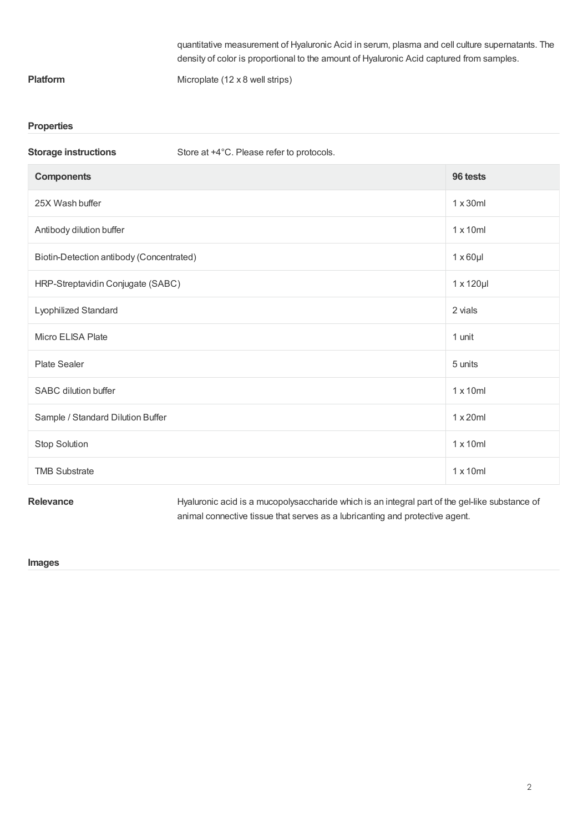|                 | guantitative measurement of Hyaluronic Acid in serum, plasma and cell culture supernatants. The |
|-----------------|-------------------------------------------------------------------------------------------------|
|                 | density of color is proportional to the amount of Hyaluronic Acid captured from samples.        |
| <b>Platform</b> | Microplate $(12 \times 8$ well strips)                                                          |

#### **Properties**

| Store at +4°C. Please refer to protocols. |                    |
|-------------------------------------------|--------------------|
|                                           | 96 tests           |
|                                           | $1 \times 30$ ml   |
|                                           | $1 \times 10$ ml   |
| Biotin-Detection antibody (Concentrated)  |                    |
| HRP-Streptavidin Conjugate (SABC)         | $1 \times 120 \mu$ |
|                                           | 2 vials            |
|                                           | 1 unit             |
|                                           | 5 units            |
|                                           | $1 \times 10$ ml   |
|                                           | $1 \times 20$ ml   |
|                                           | $1 \times 10$ ml   |
|                                           | $1 \times 10$ ml   |
|                                           |                    |

Relevance **Relevance** Hyaluronic acid is a mucopolysaccharide which is an integral part of the gel-like substance of animal connective tissue that serves as a lubricanting and protective agent.

#### **Images**